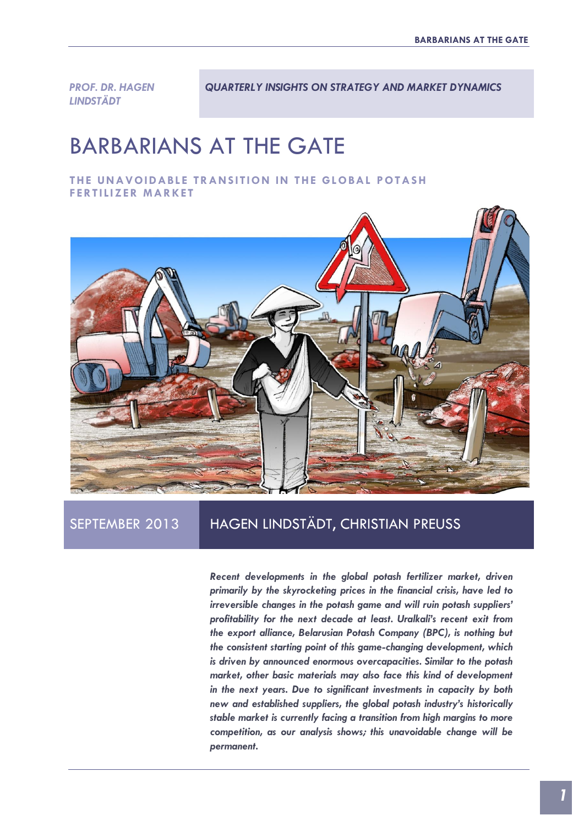*PROF. DR. HAGEN LINDSTÄDT* 

*QUARTERLY INSIGHTS ON STRATEGY AND MARKET DYNAMICS*

# BARBARIANS AT THE GATE

**THE UNAVOIDABLE TRANS ITION IN THE GLOBAL POTASH FERTILIZER MARKET** 



## SEPTEMBER 2013 HAGEN LINDSTÄDT, CHRISTIAN PREUSS

*Recent developments in the global potash fertilizer market, driven primarily by the skyrocketing prices in the financial crisis, have led to irreversible changes in the potash game and will ruin potash suppliers' profitability for the next decade at least. Uralkali's recent exit from the export alliance, Belarusian Potash Company (BPC), is nothing but the consistent starting point of this game-changing development, which is driven by announced enormous overcapacities. Similar to the potash market, other basic materials may also face this kind of development in the next years. Due to significant investments in capacity by both new and established suppliers, the global potash industry's historically stable market is currently facing a transition from high margins to more competition, as our analysis shows; this unavoidable change will be permanent.*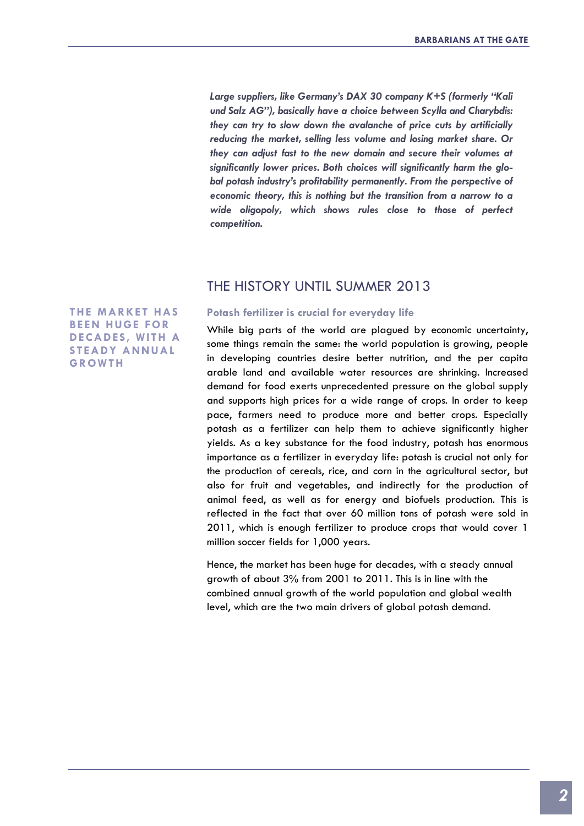*Large suppliers, like Germany's DAX 30 company K+S (formerly "Kali und Salz AG"), basically have a choice between Scylla and Charybdis: they can try to slow down the avalanche of price cuts by artificially reducing the market, selling less volume and losing market share. Or they can adjust fast to the new domain and secure their volumes at significantly lower prices. Both choices will significantly harm the global potash industry's profitability permanently. From the perspective of economic theory, this is nothing but the transition from a narrow to a wide oligopoly, which shows rules close to those of perfect competition.*

## THE HISTORY UNTIL SUMMER 2013

**Potash fertilizer is crucial for everyday life**

While big parts of the world are plagued by economic uncertainty, some things remain the same: the world population is growing, people in developing countries desire better nutrition, and the per capita arable land and available water resources are shrinking. Increased demand for food exerts unprecedented pressure on the global supply and supports high prices for a wide range of crops. In order to keep pace, farmers need to produce more and better crops. Especially potash as a fertilizer can help them to achieve significantly higher yields. As a key substance for the food industry, potash has enormous importance as a fertilizer in everyday life: potash is crucial not only for the production of cereals, rice, and corn in the agricultural sector, but also for fruit and vegetables, and indirectly for the production of animal feed, as well as for energy and biofuels production. This is reflected in the fact that over 60 million tons of potash were sold in 2011, which is enough fertilizer to produce crops that would cover 1 million soccer fields for 1,000 years.

Hence, the market has been huge for decades, with a steady annual growth of about 3% from 2001 to 2011. This is in line with the combined annual growth of the world population and global wealth level, which are the two main drivers of global potash demand.

**THE MARKET HAS BEEN HUGE FOR DECADES, WITH A S TEADY ANNUAL GROWTH**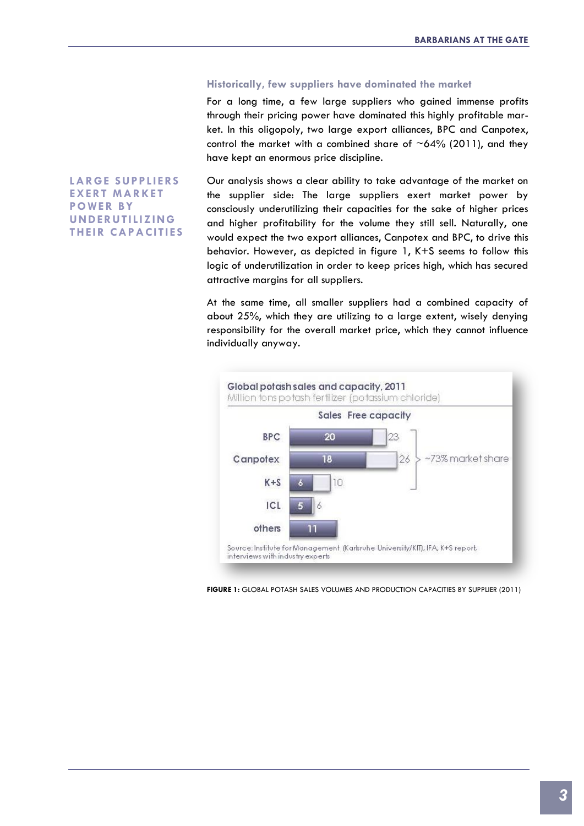#### **Historically, few suppliers have dominated the market**

For a long time, a few large suppliers who gained immense profits through their pricing power have dominated this highly profitable market. In this oligopoly, two large export alliances, BPC and Canpotex, control the market with a combined share of  $~64\%$  (2011), and they have kept an enormous price discipline.

**LARGE S UPPLIERS EXERT MARKET POWER BY UNDERUTILIZING THEIR CAPACITIES** Our analysis shows a clear ability to take advantage of the market on the supplier side: The large suppliers exert market power by consciously underutilizing their capacities for the sake of higher prices and higher profitability for the volume they still sell. Naturally, one would expect the two export alliances, Canpotex and BPC, to drive this behavior. However, as depicted in figure 1, K+S seems to follow this logic of underutilization in order to keep prices high, which has secured attractive margins for all suppliers.

At the same time, all smaller suppliers had a combined capacity of about 25%, which they are utilizing to a large extent, wisely denying responsibility for the overall market price, which they cannot influence individually anyway.



**FIGURE 1:** GLOBAL POTASH SALES VOLUMES AND PRODUCTION CAPACITIES BY SUPPLIER (2011)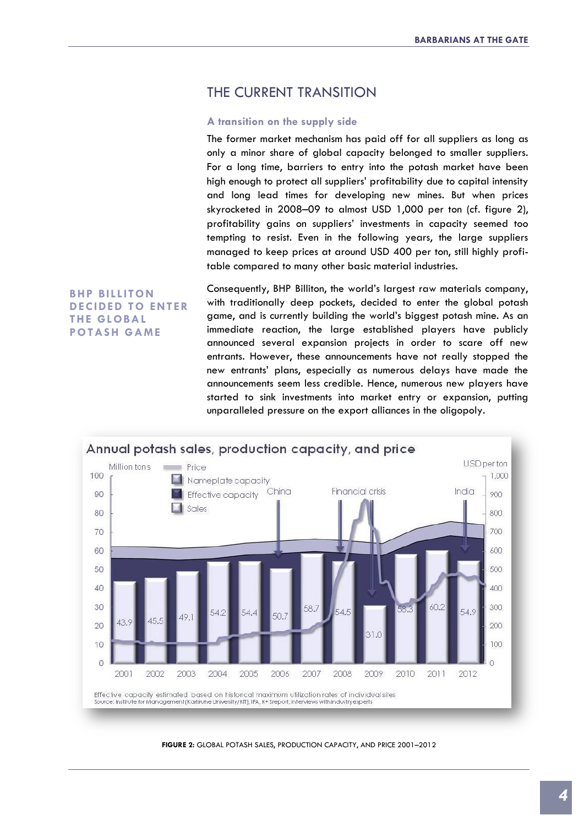## THE CURRENT TRANSITION

#### **A transition on the supply side**

The former market mechanism has paid off for all suppliers as long as only a minor share of global capacity belonged to smaller suppliers. For a long time, barriers to entry into the potash market have been high enough to protect all suppliers' profitability due to capital intensity and long lead times for developing new mines. But when prices skyrocketed in 2008–09 to almost USD 1,000 per ton (cf. figure 2), profitability gains on suppliers' investments in capacity seemed too tempting to resist. Even in the following years, the large suppliers managed to keep prices at around USD 400 per ton, still highly profitable compared to many other basic material industries.

**BHP BILLITON DECIDED TO ENTER THE GLOBAL POTAS H GAME**

Consequently, BHP Billiton, the world's largest raw materials company, with traditionally deep pockets, decided to enter the global potash game, and is currently building the world's biggest potash mine. As an immediate reaction, the large established players have publicly announced several expansion projects in order to scare off new entrants. However, these announcements have not really stopped the new entrants' plans, especially as numerous delays have made the announcements seem less credible. Hence, numerous new players have started to sink investments into market entry or expansion, putting unparalleled pressure on the export alliances in the oligopoly.



**FIGURE 2:** GLOBAL POTASH SALES, PRODUCTION CAPACITY, AND PRICE 2001–2012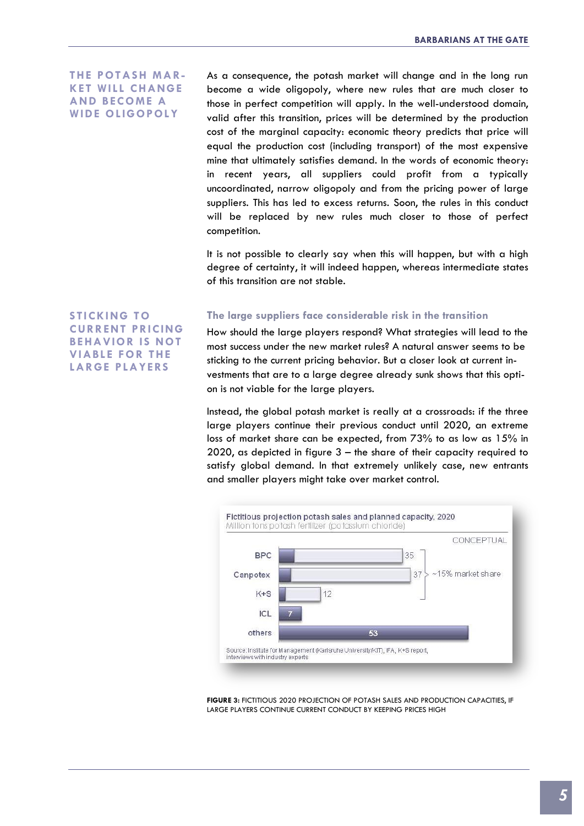**THE POTASH MAR-KET WILL CHANGE AND BECOME A WIDE OLIGOPOLY**

As a consequence, the potash market will change and in the long run become a wide oligopoly, where new rules that are much closer to those in perfect competition will apply. In the well-understood domain, valid after this transition, prices will be determined by the production cost of the marginal capacity: economic theory predicts that price will equal the production cost (including transport) of the most expensive mine that ultimately satisfies demand. In the words of economic theory: in recent years, all suppliers could profit from a typically uncoordinated, narrow oligopoly and from the pricing power of large suppliers. This has led to excess returns. Soon, the rules in this conduct will be replaced by new rules much closer to those of perfect competition.

It is not possible to clearly say when this will happen, but with a high degree of certainty, it will indeed happen, whereas intermediate states of this transition are not stable.

**S TICKING TO CURRENT PRICING BEHAVIOR IS NOT VIABLE FOR THE LARGE PLAYERS**

#### **The large suppliers face considerable risk in the transition**

How should the large players respond? What strategies will lead to the most success under the new market rules? A natural answer seems to be sticking to the current pricing behavior. But a closer look at current investments that are to a large degree already sunk shows that this option is not viable for the large players.

Instead, the global potash market is really at a crossroads: if the three large players continue their previous conduct until 2020, an extreme loss of market share can be expected, from 73% to as low as 15% in 2020, as depicted in figure 3 – the share of their capacity required to satisfy global demand. In that extremely unlikely case, new entrants and smaller players might take over market control.



**FIGURE 3:** FICTITIOUS 2020 PROJECTION OF POTASH SALES AND PRODUCTION CAPACITIES, IF LARGE PLAYERS CONTINUE CURRENT CONDUCT BY KEEPING PRICES HIGH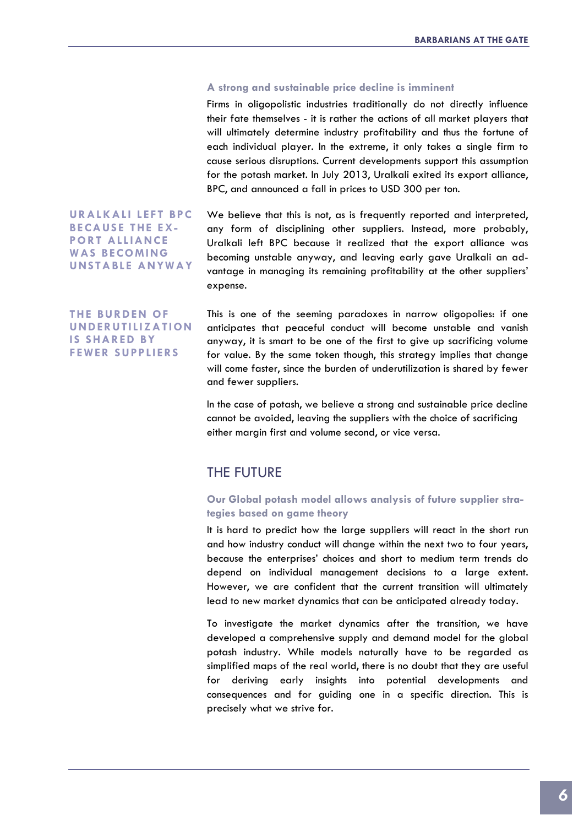#### **A strong and sustainable price decline is imminent**

Firms in oligopolistic industries traditionally do not directly influence their fate themselves - it is rather the actions of all market players that will ultimately determine industry profitability and thus the fortune of each individual player. In the extreme, it only takes a single firm to cause serious disruptions. Current developments support this assumption for the potash market. In July 2013, Uralkali exited its export alliance, BPC, and announced a fall in prices to USD 300 per ton.

**URALKALI LEFT BPC BECAUSE THE EX-PORT ALLIANCE WAS BECOMING UNS TABLE ANYWAY**

We believe that this is not, as is frequently reported and interpreted, any form of disciplining other suppliers. Instead, more probably, Uralkali left BPC because it realized that the export alliance was becoming unstable anyway, and leaving early gave Uralkali an advantage in managing its remaining profitability at the other suppliers' expense.

**THE BURDEN OF UNDERUTILIZATION IS SHARED BY FEWER S UPPLIERS**

This is one of the seeming paradoxes in narrow oligopolies: if one anticipates that peaceful conduct will become unstable and vanish anyway, it is smart to be one of the first to give up sacrificing volume for value. By the same token though, this strategy implies that change will come faster, since the burden of underutilization is shared by fewer and fewer suppliers.

In the case of potash, we believe a strong and sustainable price decline cannot be avoided, leaving the suppliers with the choice of sacrificing either margin first and volume second, or vice versa.

## THE FUTURE

#### **Our Global potash model allows analysis of future supplier strategies based on game theory**

It is hard to predict how the large suppliers will react in the short run and how industry conduct will change within the next two to four years, because the enterprises' choices and short to medium term trends do depend on individual management decisions to a large extent. However, we are confident that the current transition will ultimately lead to new market dynamics that can be anticipated already today.

To investigate the market dynamics after the transition, we have developed a comprehensive supply and demand model for the global potash industry. While models naturally have to be regarded as simplified maps of the real world, there is no doubt that they are useful for deriving early insights into potential developments and consequences and for guiding one in a specific direction. This is precisely what we strive for.

*6*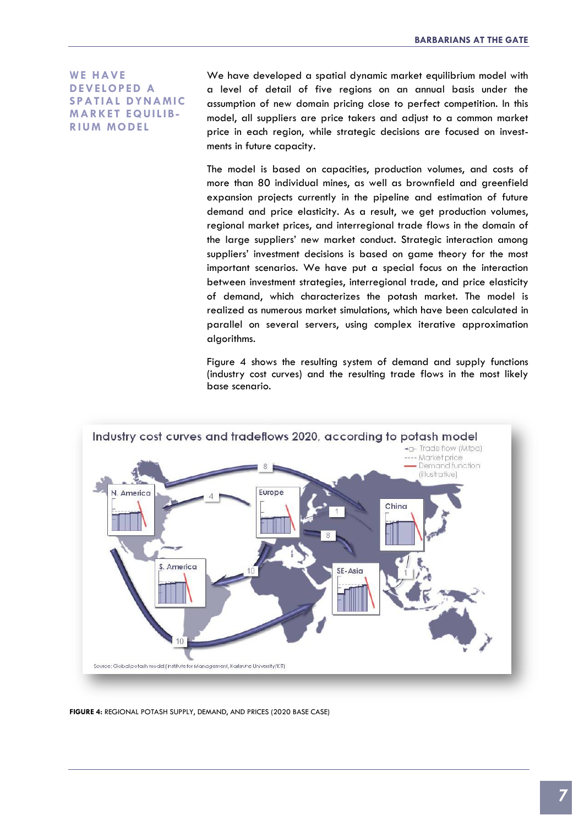**WE HAVE DEVELOPED A S PATIAL DYNAMIC MARKET EQUILIB-RIUM MODEL**

We have developed a spatial dynamic market equilibrium model with a level of detail of five regions on an annual basis under the assumption of new domain pricing close to perfect competition. In this model, all suppliers are price takers and adjust to a common market price in each region, while strategic decisions are focused on investments in future capacity.

The model is based on capacities, production volumes, and costs of more than 80 individual mines, as well as brownfield and greenfield expansion projects currently in the pipeline and estimation of future demand and price elasticity. As a result, we get production volumes, regional market prices, and interregional trade flows in the domain of the large suppliers' new market conduct. Strategic interaction among suppliers' investment decisions is based on game theory for the most important scenarios. We have put a special focus on the interaction between investment strategies, interregional trade, and price elasticity of demand, which characterizes the potash market. The model is realized as numerous market simulations, which have been calculated in parallel on several servers, using complex iterative approximation algorithms.

Figure 4 shows the resulting system of demand and supply functions (industry cost curves) and the resulting trade flows in the most likely base scenario.



**FIGURE 4:** REGIONAL POTASH SUPPLY, DEMAND, AND PRICES (2020 BASE CASE)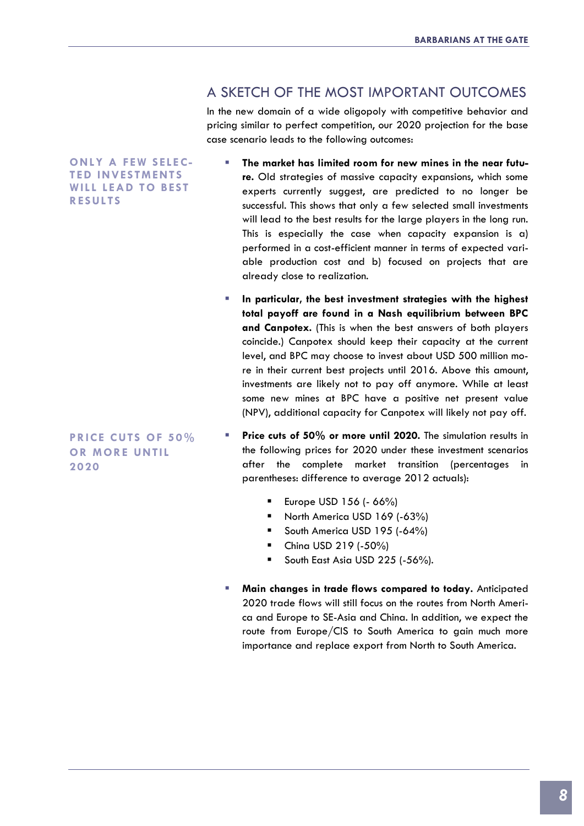### A SKETCH OF THE MOST IMPORTANT OUTCOMES

In the new domain of a wide oligopoly with competitive behavior and pricing similar to perfect competition, our 2020 projection for the base case scenario leads to the following outcomes:

**ONLY A FEW S ELEC-TED INVES TMENTS WILL LEAD TO BEST RES ULTS**

**PRICE CUTS OF 50% OR MORE UNTIL 2020**

- **The market has limited room for new mines in the near future.** Old strategies of massive capacity expansions, which some experts currently suggest, are predicted to no longer be successful. This shows that only a few selected small investments will lead to the best results for the large players in the long run. This is especially the case when capacity expansion is a) performed in a cost-efficient manner in terms of expected variable production cost and b) focused on projects that are already close to realization.
- **In particular, the best investment strategies with the highest total payoff are found in a Nash equilibrium between BPC and Canpotex.** (This is when the best answers of both players coincide.) Canpotex should keep their capacity at the current level, and BPC may choose to invest about USD 500 million more in their current best projects until 2016. Above this amount, investments are likely not to pay off anymore. While at least some new mines at BPC have a positive net present value (NPV), additional capacity for Canpotex will likely not pay off.
- **Price cuts of 50% or more until 2020.** The simulation results in the following prices for 2020 under these investment scenarios after the complete market transition (percentages in parentheses: difference to average 2012 actuals):
	- Europe USD 156 (- 66%)
	- North America USD 169 (-63%)
	- South America USD 195 (-64%)
	- China USD 219 (-50%)
	- South East Asia USD 225 (-56%).
- **Main changes in trade flows compared to today.** Anticipated 2020 trade flows will still focus on the routes from North America and Europe to SE-Asia and China. In addition, we expect the route from Europe/CIS to South America to gain much more importance and replace export from North to South America.